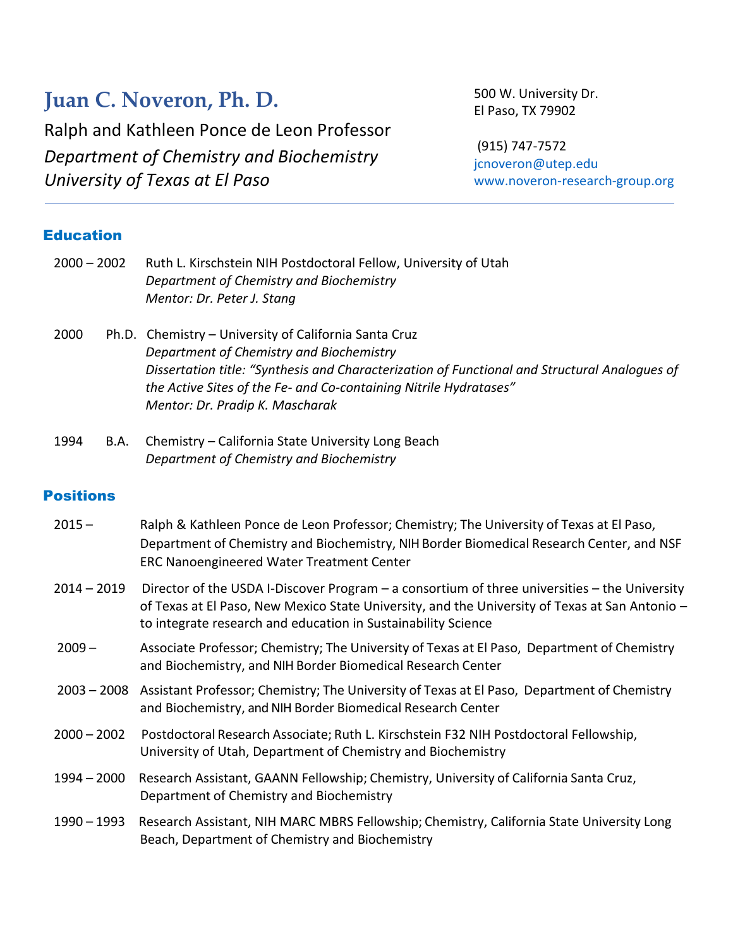# **Juan C. Noveron, Ph. D.**

Ralph and Kathleen Ponce de Leon Professor *Department of Chemistry and Biochemistry University of Texas at El Paso*

500 W. University Dr. El Paso, TX 79902

(915) 747-7572 [jcnoveron@utep.edu](mailto:jcnoveron@utep.edu) [www.noveron-research-group.org](http://www.noveron-research-group.org/)

# Education

| $2000 - 2002$ |  | Ruth L. Kirschstein NIH Postdoctoral Fellow, University of Utah<br>Department of Chemistry and Biochemistry |  |  |  |
|---------------|--|-------------------------------------------------------------------------------------------------------------|--|--|--|
|               |  | Mentor: Dr. Peter J. Stang                                                                                  |  |  |  |
| 2000          |  | Ph.D. Chemistry – University of California Santa Cruz                                                       |  |  |  |
|               |  | Department of Chemistry and Biochemistry                                                                    |  |  |  |
|               |  | Dissertation title: "Synthesis and Characterization of Functional and Structural Analogues of               |  |  |  |
|               |  | the Active Sites of the Fe- and Co-containing Nitrile Hydratases"                                           |  |  |  |
|               |  | Mentor: Dr. Pradip K. Mascharak                                                                             |  |  |  |
| .             |  | Alexandre Act Contract Alexandre and the composite                                                          |  |  |  |

1994 B.A. Chemistry – California State University Long Beach *Department of Chemistry and Biochemistry*

# **Positions**

| $2015 -$      | Ralph & Kathleen Ponce de Leon Professor; Chemistry; The University of Texas at El Paso,<br>Department of Chemistry and Biochemistry, NIH Border Biomedical Research Center, and NSF<br><b>ERC Nanoengineered Water Treatment Center</b>                         |  |  |  |
|---------------|------------------------------------------------------------------------------------------------------------------------------------------------------------------------------------------------------------------------------------------------------------------|--|--|--|
| $2014 - 2019$ | Director of the USDA I-Discover Program – a consortium of three universities – the University<br>of Texas at El Paso, New Mexico State University, and the University of Texas at San Antonio -<br>to integrate research and education in Sustainability Science |  |  |  |
| $2009 -$      | Associate Professor; Chemistry; The University of Texas at El Paso, Department of Chemistry<br>and Biochemistry, and NIH Border Biomedical Research Center                                                                                                       |  |  |  |
| $2003 - 2008$ | Assistant Professor; Chemistry; The University of Texas at El Paso, Department of Chemistry<br>and Biochemistry, and NIH Border Biomedical Research Center                                                                                                       |  |  |  |
| $2000 - 2002$ | Postdoctoral Research Associate; Ruth L. Kirschstein F32 NIH Postdoctoral Fellowship,<br>University of Utah, Department of Chemistry and Biochemistry                                                                                                            |  |  |  |
| 1994 - 2000   | Research Assistant, GAANN Fellowship; Chemistry, University of California Santa Cruz,<br>Department of Chemistry and Biochemistry                                                                                                                                |  |  |  |
| 1990 - 1993   | Research Assistant, NIH MARC MBRS Fellowship; Chemistry, California State University Long<br>Beach, Department of Chemistry and Biochemistry                                                                                                                     |  |  |  |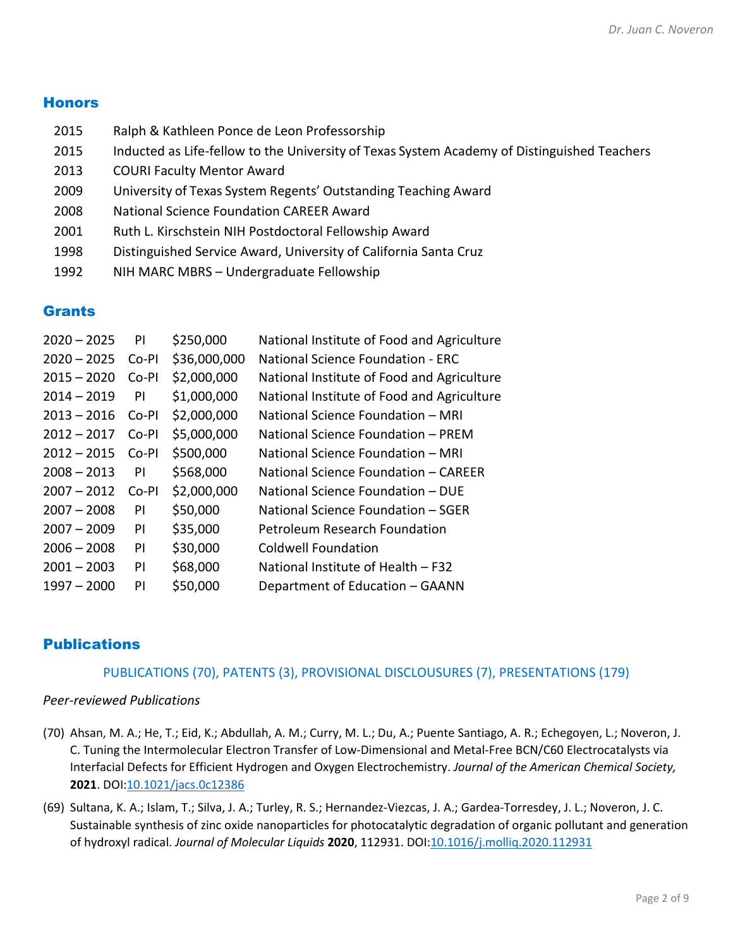#### **Honors**

- 2015 Ralph & Kathleen Ponce de Leon Professorship
- 2015 Inducted as Life-fellow to the University of Texas System Academy of Distinguished Teachers
- 2013 COURI Faculty Mentor Award
- 2009 University of Texas System Regents' Outstanding Teaching Award
- 2008 National Science Foundation CAREER Award
- 2001 Ruth L. Kirschstein NIH Postdoctoral Fellowship Award
- 1998 Distinguished Service Award, University of California Santa Cruz
- 1992 NIH MARC MBRS Undergraduate Fellowship

#### **Grants**

| $2020 - 2025$ | ΡI    | \$250,000    | National Institute of Food and Agriculture |
|---------------|-------|--------------|--------------------------------------------|
| $2020 - 2025$ | Co-PI | \$36,000,000 | National Science Foundation - FRC          |
| $2015 - 2020$ | Co-PI | \$2,000,000  | National Institute of Food and Agriculture |
| $2014 - 2019$ | PI    | \$1,000,000  | National Institute of Food and Agriculture |
| $2013 - 2016$ | Co-PI | \$2,000,000  | National Science Foundation - MRI          |
| $2012 - 2017$ | Co-PI | \$5,000,000  | National Science Foundation - PREM         |
| $2012 - 2015$ | Co-PI | \$500,000    | National Science Foundation – MRI          |
| $2008 - 2013$ | PI    | \$568,000    | National Science Foundation - CAREER       |
| $2007 - 2012$ | Co-PI | \$2,000,000  | National Science Foundation – DUF          |
| $2007 - 2008$ | PI    | \$50,000     | National Science Foundation – SGER         |
| $2007 - 2009$ | PI    | \$35,000     | Petroleum Research Foundation              |
| $2006 - 2008$ | PI    | \$30,000     | Coldwell Foundation                        |
| $2001 - 2003$ | PI    | \$68,000     | National Institute of Health - F32         |
| $1997 - 2000$ | ΡI    | \$50,000     | Department of Education - GAANN            |

#### **Publications**

#### PUBLICATIONS (70), PATENTS (3), PROVISIONAL DISCLOUSURES (7), PRESENTATIONS (179)

#### *Peer-reviewed Publications*

- (70) Ahsan, M. A.; He, T.; Eid, K.; Abdullah, A. M.; Curry, M. L.; Du, A.; Puente Santiago, A. R.; Echegoyen, L.; Noveron, J. C. Tuning the Intermolecular Electron Transfer of Low-Dimensional and Metal-Free BCN/C60 Electrocatalysts via Interfacial Defects for Efficient Hydrogen and Oxygen Electrochemistry. *Journal of the American Chemical Society,* **2021**. DOI[:10.1021/jacs.0c12386](https://doi.org/10.1021/jacs.0c12386)
- (69) Sultana, K. A.; Islam, T.; Silva, J. A.; Turley, R. S.; Hernandez-Viezcas, J. A.; Gardea-Torresdey, J. L.; Noveron, J. C. Sustainable synthesis of zinc oxide nanoparticles for photocatalytic degradation of organic pollutant and generation of hydroxyl radical. *Journal of Molecular Liquids* **2020**, 112931. DOI[:10.1016/j.molliq.2020.112931](https://doi.org/10.1016/j.molliq.2020.112931)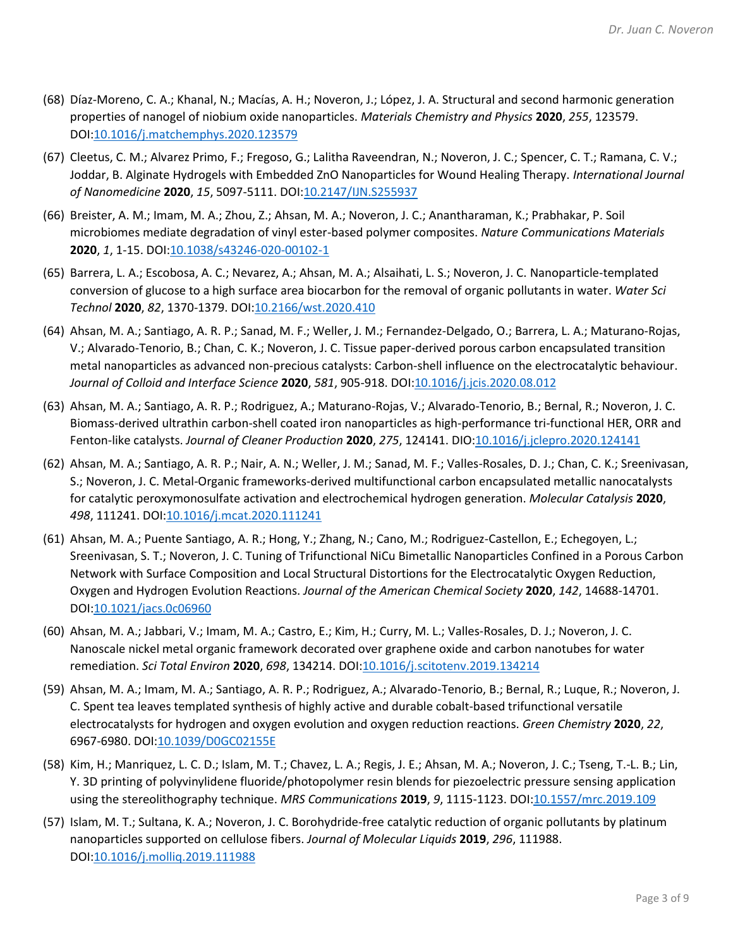- (68) Díaz-Moreno, C. A.; Khanal, N.; Macías, A. H.; Noveron, J.; López, J. A. Structural and second harmonic generation properties of nanogel of niobium oxide nanoparticles. *Materials Chemistry and Physics* **2020**, *255*, 123579. DOI[:10.1016/j.matchemphys.2020.123579](https://doi.org/10.1016/j.matchemphys.2020.123579)
- (67) Cleetus, C. M.; Alvarez Primo, F.; Fregoso, G.; Lalitha Raveendran, N.; Noveron, J. C.; Spencer, C. T.; Ramana, C. V.; Joddar, B. Alginate Hydrogels with Embedded ZnO Nanoparticles for Wound Healing Therapy. *International Journal of Nanomedicine* **2020**, *15*, 5097-5111. DOI[:10.2147/IJN.S255937](https://doi.org/10.2147/IJN.S255937)
- (66) Breister, A. M.; Imam, M. A.; Zhou, Z.; Ahsan, M. A.; Noveron, J. C.; Anantharaman, K.; Prabhakar, P. Soil microbiomes mediate degradation of vinyl ester-based polymer composites. *Nature Communications Materials* **2020**, *1*, 1-15. DOI[:10.1038/s43246-020-00102-1](https://doi.org/10.1038/s43246-020-00102-1)
- (65) Barrera, L. A.; Escobosa, A. C.; Nevarez, A.; Ahsan, M. A.; Alsaihati, L. S.; Noveron, J. C. Nanoparticle-templated conversion of glucose to a high surface area biocarbon for the removal of organic pollutants in water. *Water Sci Technol* **2020**, *82*, 1370-1379. DOI[:10.2166/wst.2020.410](https://doi.org/10.2166/wst.2020.410)
- (64) Ahsan, M. A.; Santiago, A. R. P.; Sanad, M. F.; Weller, J. M.; Fernandez-Delgado, O.; Barrera, L. A.; Maturano-Rojas, V.; Alvarado-Tenorio, B.; Chan, C. K.; Noveron, J. C. Tissue paper-derived porous carbon encapsulated transition metal nanoparticles as advanced non-precious catalysts: Carbon-shell influence on the electrocatalytic behaviour. *Journal of Colloid and Interface Science* **2020**, *581*, 905-918. DOI[:10.1016/j.jcis.2020.08.012](https://doi.org/10.1016/j.jcis.2020.08.012)
- (63) Ahsan, M. A.; Santiago, A. R. P.; Rodriguez, A.; Maturano-Rojas, V.; Alvarado-Tenorio, B.; Bernal, R.; Noveron, J. C. Biomass-derived ultrathin carbon-shell coated iron nanoparticles as high-performance tri-functional HER, ORR and Fenton-like catalysts. *Journal of Cleaner Production* **2020**, *275*, 124141. DIO[:10.1016/j.jclepro.2020.124141](https://doi.org/10.1016/j.jclepro.2020.124141)
- (62) Ahsan, M. A.; Santiago, A. R. P.; Nair, A. N.; Weller, J. M.; Sanad, M. F.; Valles-Rosales, D. J.; Chan, C. K.; Sreenivasan, S.; Noveron, J. C. Metal-Organic frameworks-derived multifunctional carbon encapsulated metallic nanocatalysts for catalytic peroxymonosulfate activation and electrochemical hydrogen generation. *Molecular Catalysis* **2020**, *498*, 111241. DOI[:10.1016/j.mcat.2020.111241](https://doi.org/10.1016/j.mcat.2020.111241)
- (61) Ahsan, M. A.; Puente Santiago, A. R.; Hong, Y.; Zhang, N.; Cano, M.; Rodriguez-Castellon, E.; Echegoyen, L.; Sreenivasan, S. T.; Noveron, J. C. Tuning of Trifunctional NiCu Bimetallic Nanoparticles Confined in a Porous Carbon Network with Surface Composition and Local Structural Distortions for the Electrocatalytic Oxygen Reduction, Oxygen and Hydrogen Evolution Reactions. *Journal of the American Chemical Society* **2020**, *142*, 14688-14701. DOI[:10.1021/jacs.0c06960](https://doi.org/10.1021/jacs.0c06960)
- (60) Ahsan, M. A.; Jabbari, V.; Imam, M. A.; Castro, E.; Kim, H.; Curry, M. L.; Valles-Rosales, D. J.; Noveron, J. C. Nanoscale nickel metal organic framework decorated over graphene oxide and carbon nanotubes for water remediation. *Sci Total Environ* **2020**, *698*, 134214. DOI[:10.1016/j.scitotenv.2019.134214](https://doi.org/10.1016/j.scitotenv.2019.134214)
- (59) Ahsan, M. A.; Imam, M. A.; Santiago, A. R. P.; Rodriguez, A.; Alvarado-Tenorio, B.; Bernal, R.; Luque, R.; Noveron, J. C. Spent tea leaves templated synthesis of highly active and durable cobalt-based trifunctional versatile electrocatalysts for hydrogen and oxygen evolution and oxygen reduction reactions. *Green Chemistry* **2020**, *22*, 6967-6980. DOI[:10.1039/D0GC02155E](https://doi.org/10.1039/D0GC02155E)
- (58) Kim, H.; Manriquez, L. C. D.; Islam, M. T.; Chavez, L. A.; Regis, J. E.; Ahsan, M. A.; Noveron, J. C.; Tseng, T.-L. B.; Lin, Y. 3D printing of polyvinylidene fluoride/photopolymer resin blends for piezoelectric pressure sensing application using the stereolithography technique. *MRS Communications* **2019**, *9*, 1115-1123. DOI[:10.1557/mrc.2019.109](https://doi.org/10.1557/mrc.2019.109)
- (57) Islam, M. T.; Sultana, K. A.; Noveron, J. C. Borohydride-free catalytic reduction of organic pollutants by platinum nanoparticles supported on cellulose fibers. *Journal of Molecular Liquids* **2019**, *296*, 111988. DOI[:10.1016/j.molliq.2019.111988](https://doi.org/10.1016/j.molliq.2019.111988)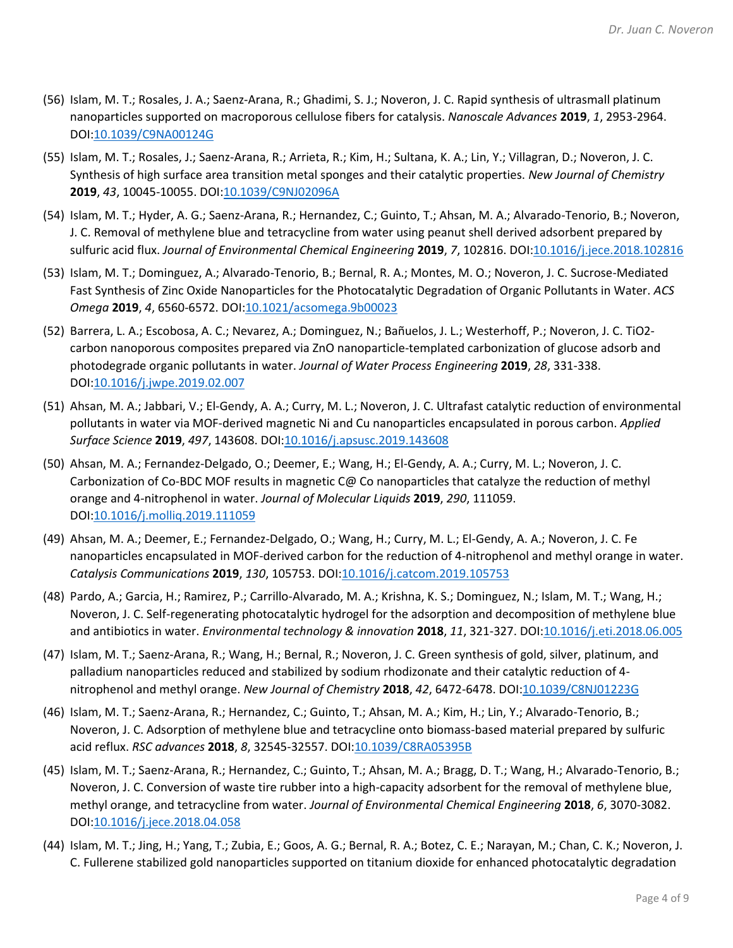- (56) Islam, M. T.; Rosales, J. A.; Saenz-Arana, R.; Ghadimi, S. J.; Noveron, J. C. Rapid synthesis of ultrasmall platinum nanoparticles supported on macroporous cellulose fibers for catalysis. *Nanoscale Advances* **2019**, *1*, 2953-2964. DOI[:10.1039/C9NA00124G](https://doi.org/10.1039/C9NA00124G)
- (55) Islam, M. T.; Rosales, J.; Saenz-Arana, R.; Arrieta, R.; Kim, H.; Sultana, K. A.; Lin, Y.; Villagran, D.; Noveron, J. C. Synthesis of high surface area transition metal sponges and their catalytic properties. *New Journal of Chemistry* **2019**, *43*, 10045-10055. DOI[:10.1039/C9NJ02096A](https://doi.org/10.1039/C9NJ02096A)
- (54) Islam, M. T.; Hyder, A. G.; Saenz-Arana, R.; Hernandez, C.; Guinto, T.; Ahsan, M. A.; Alvarado-Tenorio, B.; Noveron, J. C. Removal of methylene blue and tetracycline from water using peanut shell derived adsorbent prepared by sulfuric acid flux. *Journal of Environmental Chemical Engineering* **2019**, *7*, 102816. DOI[:10.1016/j.jece.2018.102816](https://doi.org/10.1016/j.jece.2018.102816)
- (53) Islam, M. T.; Dominguez, A.; Alvarado-Tenorio, B.; Bernal, R. A.; Montes, M. O.; Noveron, J. C. Sucrose-Mediated Fast Synthesis of Zinc Oxide Nanoparticles for the Photocatalytic Degradation of Organic Pollutants in Water. *ACS Omega* **2019**, *4*, 6560-6572. DOI[:10.1021/acsomega.9b00023](https://doi.org/10.1021/acsomega.9b00023)
- (52) Barrera, L. A.; Escobosa, A. C.; Nevarez, A.; Dominguez, N.; Bañuelos, J. L.; Westerhoff, P.; Noveron, J. C. TiO2 carbon nanoporous composites prepared via ZnO nanoparticle-templated carbonization of glucose adsorb and photodegrade organic pollutants in water. *Journal of Water Process Engineering* **2019**, *28*, 331-338. DOI[:10.1016/j.jwpe.2019.02.007](https://doi.org/10.1016/j.jwpe.2019.02.007)
- (51) Ahsan, M. A.; Jabbari, V.; El-Gendy, A. A.; Curry, M. L.; Noveron, J. C. Ultrafast catalytic reduction of environmental pollutants in water via MOF-derived magnetic Ni and Cu nanoparticles encapsulated in porous carbon. *Applied Surface Science* **2019**, *497*, 143608. DOI[:10.1016/j.apsusc.2019.143608](https://doi.org/10.1016/j.apsusc.2019.143608)
- (50) Ahsan, M. A.; Fernandez-Delgado, O.; Deemer, E.; Wang, H.; El-Gendy, A. A.; Curry, M. L.; Noveron, J. C. Carbonization of Co-BDC MOF results in magnetic C@ Co nanoparticles that catalyze the reduction of methyl orange and 4-nitrophenol in water. *Journal of Molecular Liquids* **2019**, *290*, 111059. DOI[:10.1016/j.molliq.2019.111059](https://doi.org/10.1016/j.molliq.2019.111059)
- (49) Ahsan, M. A.; Deemer, E.; Fernandez-Delgado, O.; Wang, H.; Curry, M. L.; El-Gendy, A. A.; Noveron, J. C. Fe nanoparticles encapsulated in MOF-derived carbon for the reduction of 4-nitrophenol and methyl orange in water. *Catalysis Communications* **2019**, *130*, 105753. DOI[:10.1016/j.catcom.2019.105753](https://doi.org/10.1016/j.catcom.2019.105753)
- (48) Pardo, A.; Garcia, H.; Ramirez, P.; Carrillo-Alvarado, M. A.; Krishna, K. S.; Dominguez, N.; Islam, M. T.; Wang, H.; Noveron, J. C. Self-regenerating photocatalytic hydrogel for the adsorption and decomposition of methylene blue and antibiotics in water. *Environmental technology & innovation* **2018**, *11*, 321-327. DOI[:10.1016/j.eti.2018.06.005](https://doi.org/10.1016/j.eti.2018.06.005)
- (47) Islam, M. T.; Saenz-Arana, R.; Wang, H.; Bernal, R.; Noveron, J. C. Green synthesis of gold, silver, platinum, and palladium nanoparticles reduced and stabilized by sodium rhodizonate and their catalytic reduction of 4 nitrophenol and methyl orange. *New Journal of Chemistry* **2018**, *42*, 6472-6478. DOI[:10.1039/C8NJ01223G](https://doi.org/10.1039/C8NJ01223G)
- (46) Islam, M. T.; Saenz-Arana, R.; Hernandez, C.; Guinto, T.; Ahsan, M. A.; Kim, H.; Lin, Y.; Alvarado-Tenorio, B.; Noveron, J. C. Adsorption of methylene blue and tetracycline onto biomass-based material prepared by sulfuric acid reflux. *RSC advances* **2018**, *8*, 32545-32557. DOI[:10.1039/C8RA05395B](https://doi.org/10.1039/C8RA05395B)
- (45) Islam, M. T.; Saenz-Arana, R.; Hernandez, C.; Guinto, T.; Ahsan, M. A.; Bragg, D. T.; Wang, H.; Alvarado-Tenorio, B.; Noveron, J. C. Conversion of waste tire rubber into a high-capacity adsorbent for the removal of methylene blue, methyl orange, and tetracycline from water. *Journal of Environmental Chemical Engineering* **2018**, *6*, 3070-3082. DOI[:10.1016/j.jece.2018.04.058](https://doi.org/10.1016/j.jece.2018.04.058)
- (44) Islam, M. T.; Jing, H.; Yang, T.; Zubia, E.; Goos, A. G.; Bernal, R. A.; Botez, C. E.; Narayan, M.; Chan, C. K.; Noveron, J. C. Fullerene stabilized gold nanoparticles supported on titanium dioxide for enhanced photocatalytic degradation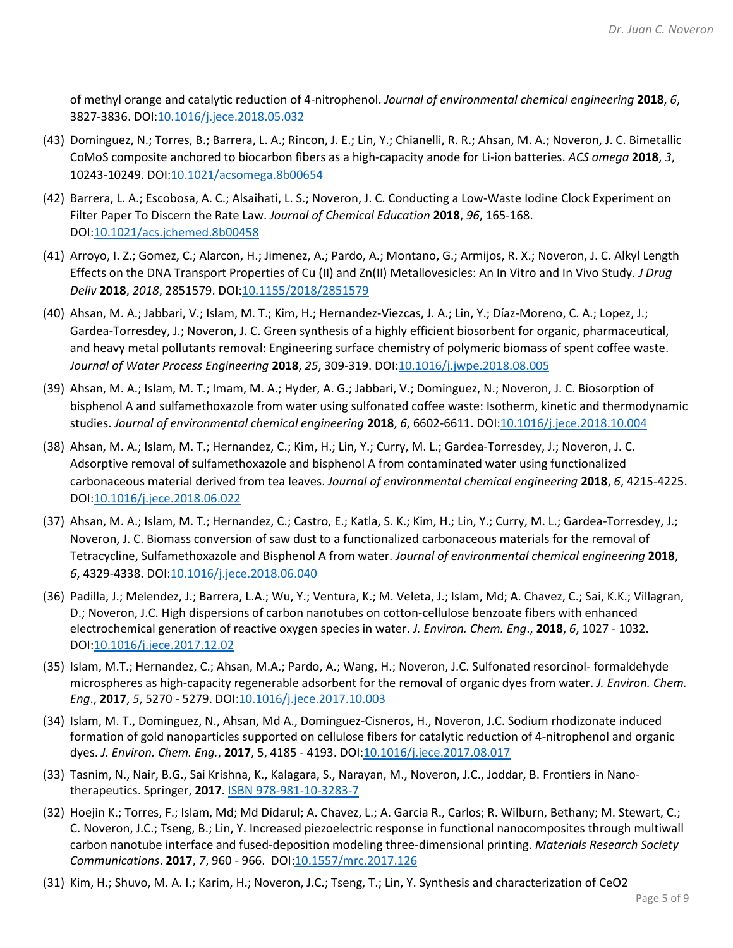of methyl orange and catalytic reduction of 4-nitrophenol. *Journal of environmental chemical engineering* **2018**, *6*, 3827-3836. DOI[:10.1016/j.jece.2018.05.032](https://doi.org/10.1016/j.jece.2018.05.032)

- (43) Dominguez, N.; Torres, B.; Barrera, L. A.; Rincon, J. E.; Lin, Y.; Chianelli, R. R.; Ahsan, M. A.; Noveron, J. C. Bimetallic CoMoS composite anchored to biocarbon fibers as a high-capacity anode for Li-ion batteries. *ACS omega* **2018**, *3*, 10243-10249. DOI[:10.1021/acsomega.8b00654](https://doi.org/10.1021/acsomega.8b00654)
- (42) Barrera, L. A.; Escobosa, A. C.; Alsaihati, L. S.; Noveron, J. C. Conducting a Low-Waste Iodine Clock Experiment on Filter Paper To Discern the Rate Law. *Journal of Chemical Education* **2018**, *96*, 165-168. DOI[:10.1021/acs.jchemed.8b00458](https://doi.org/10.1021/acs.jchemed.8b00458)
- (41) Arroyo, I. Z.; Gomez, C.; Alarcon, H.; Jimenez, A.; Pardo, A.; Montano, G.; Armijos, R. X.; Noveron, J. C. Alkyl Length Effects on the DNA Transport Properties of Cu (II) and Zn(II) Metallovesicles: An In Vitro and In Vivo Study. *J Drug Deliv* **2018**, *2018*, 2851579. DOI[:10.1155/2018/2851579](https://doi.org/10.1155/2018/2851579)
- (40) Ahsan, M. A.; Jabbari, V.; Islam, M. T.; Kim, H.; Hernandez-Viezcas, J. A.; Lin, Y.; Díaz-Moreno, C. A.; Lopez, J.; Gardea-Torresdey, J.; Noveron, J. C. Green synthesis of a highly efficient biosorbent for organic, pharmaceutical, and heavy metal pollutants removal: Engineering surface chemistry of polymeric biomass of spent coffee waste. *Journal of Water Process Engineering* **2018**, *25*, 309-319. DO[I:10.1016/j.jwpe.2018.08.005](https://doi.org/10.1016/j.jwpe.2018.08.005)
- (39) Ahsan, M. A.; Islam, M. T.; Imam, M. A.; Hyder, A. G.; Jabbari, V.; Dominguez, N.; Noveron, J. C. Biosorption of bisphenol A and sulfamethoxazole from water using sulfonated coffee waste: Isotherm, kinetic and thermodynamic studies. *Journal of environmental chemical engineering* **2018**, *6*, 6602-6611. DOI[:10.1016/j.jece.2018.10.004](https://doi.org/10.1016/j.jece.2018.10.004)
- (38) Ahsan, M. A.; Islam, M. T.; Hernandez, C.; Kim, H.; Lin, Y.; Curry, M. L.; Gardea-Torresdey, J.; Noveron, J. C. Adsorptive removal of sulfamethoxazole and bisphenol A from contaminated water using functionalized carbonaceous material derived from tea leaves. *Journal of environmental chemical engineering* **2018**, *6*, 4215-4225. DOI[:10.1016/j.jece.2018.06.022](https://doi.org/10.1016/j.jece.2018.06.022)
- (37) Ahsan, M. A.; Islam, M. T.; Hernandez, C.; Castro, E.; Katla, S. K.; Kim, H.; Lin, Y.; Curry, M. L.; Gardea-Torresdey, J.; Noveron, J. C. Biomass conversion of saw dust to a functionalized carbonaceous materials for the removal of Tetracycline, Sulfamethoxazole and Bisphenol A from water. *Journal of environmental chemical engineering* **2018**, *6*, 4329-4338. DOI[:10.1016/j.jece.2018.06.040](https://doi.org/10.1016/j.jece.2018.06.040)
- (36) Padilla, J.; Melendez, J.; Barrera, L.A.; Wu, Y.; Ventura, K.; M. Veleta, J.; Islam, Md; A. Chavez, C.; Sai, K.K.; Villagran, D.; Noveron, J.C. High dispersions of carbon nanotubes on cotton-cellulose benzoate fibers with enhanced electrochemical generation of reactive oxygen species in water. *J. Environ. Chem. Eng*., **2018**, *6*, 1027 - 1032. DOI[:10.1016/j.jece.2017.12.02](https://doi.org/10.1016/j.jece.2017.12.002)
- (35) Islam, M.T.; Hernandez, C.; Ahsan, M.A.; Pardo, A.; Wang, H.; Noveron, J.C. Sulfonated resorcinol- formaldehyde microspheres as high-capacity regenerable adsorbent for the removal of organic dyes from water. *J. Environ. Chem. Eng*., **2017**, *5*, 5270 - 5279. DOI[:10.1016/j.jece.2017.10.003](https://doi.org/10.1016/j.jece.2017.10.003)
- (34) Islam, M. T., Dominguez, N., Ahsan, Md A., Dominguez-Cisneros, H., Noveron, J.C. Sodium rhodizonate induced formation of gold nanoparticles supported on cellulose fibers for catalytic reduction of 4-nitrophenol and organic dyes. *J. Environ. Chem. Eng.*, **2017**, 5, 4185 - 4193. DOI[:10.1016/j.jece.2017.08.017](https://doi.org/10.1016/j.jece.2017.08.017)
- (33) Tasnim, N., Nair, B.G., Sai Krishna, K., Kalagara, S., Narayan, M., Noveron, J.C., Joddar, B. Frontiers in Nanotherapeutics. Springer, **2017**. ISBN [978-981-10-3283-7](https://www.springer.com/gp/book/9789811032820)
- (32) Hoejin K.; Torres, F.; Islam, Md; Md Didarul; A. Chavez, L.; A. Garcia R., Carlos; R. Wilburn, Bethany; M. Stewart, C.; C. Noveron, J.C.; Tseng, B.; Lin, Y. Increased piezoelectric response in functional nanocomposites through multiwall carbon nanotube interface and fused-deposition modeling three-dimensional printing. *Materials Research Society Communications*. **2017**, *7*, 960 - 966. DOI[:10.1557/mrc.2017.126](https://doi.org/10.1557/mrc.2017.126)
- (31) Kim, H.; Shuvo, M. A. I.; Karim, H.; Noveron, J.C.; Tseng, T.; Lin, Y. Synthesis and characterization of CeO2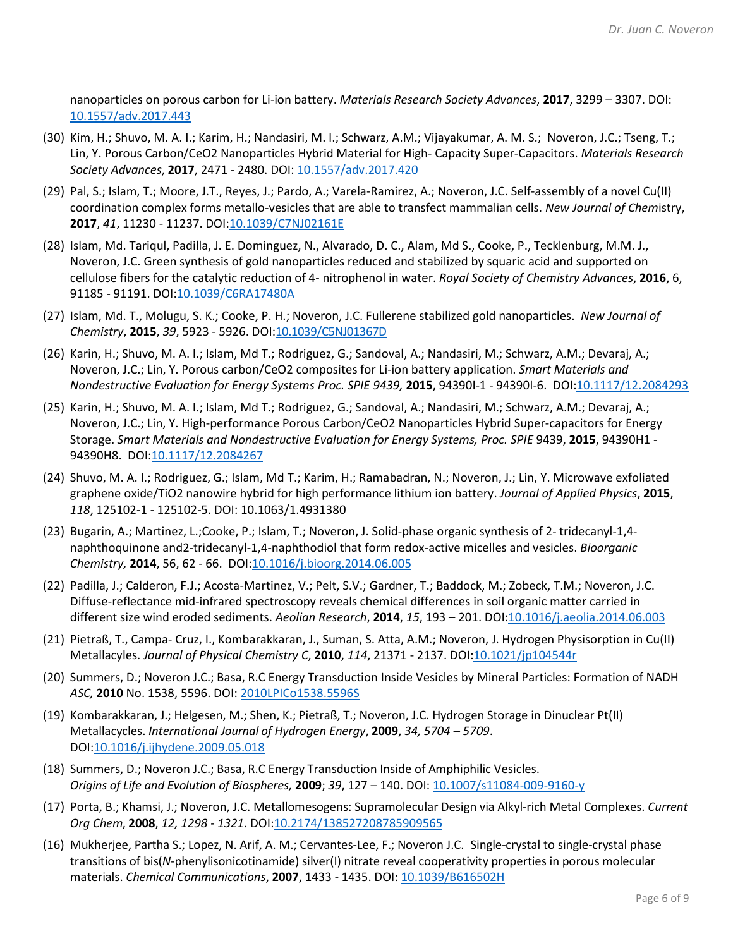nanoparticles on porous carbon for Li-ion battery. *Materials Research Society Advances*, **2017**, 3299 – 3307. DOI: [10.1557/adv.2017.443](https://doi.org/10.1557/adv.2017.443)

- (30) Kim, H.; Shuvo, M. A. I.; Karim, H.; Nandasiri, M. I.; Schwarz, A.M.; Vijayakumar, A. M. S.; Noveron, J.C.; Tseng, T.; Lin, Y. Porous Carbon/CeO2 Nanoparticles Hybrid Material for High- Capacity Super-Capacitors. *Materials Research Society Advances*, **2017**, 2471 - 2480. DOI: [10.1557/adv.2017.420](https://doi.org/10.1557/adv.2017.420)
- (29) Pal, S.; Islam, T.; Moore, J.T., Reyes, J.; Pardo, A.; Varela-Ramirez, A.; Noveron, J.C. Self-assembly of a novel Cu(II) coordination complex forms metallo-vesicles that are able to transfect mammalian cells. *New Journal of Chem*istry, **2017**, *41*, 11230 - 11237. DOI[:10.1039/C7NJ02161E](https://doi.org/10.1039/C7NJ02161E)
- (28) Islam, Md. Tariqul, Padilla, J. E. Dominguez, N., Alvarado, D. C., Alam, Md S., Cooke, P., Tecklenburg, M.M. J., Noveron, J.C. Green synthesis of gold nanoparticles reduced and stabilized by squaric acid and supported on cellulose fibers for the catalytic reduction of 4- nitrophenol in water. *Royal Society of Chemistry Advances*, **2016**, 6, 91185 - 91191. DOI[:10.1039/C6RA17480A](https://doi.org/10.1039/C6RA17480A)
- (27) Islam, Md. T., Molugu, S. K.; Cooke, P. H.; Noveron, J.C. Fullerene stabilized gold nanoparticles. *New Journal of Chemistry*, **2015**, *39*, 5923 - 5926. DOI[:10.1039/C5NJ01367D](https://doi.org/10.1039/C5NJ01367D)
- (26) Karin, H.; Shuvo, M. A. I.; Islam, Md T.; Rodriguez, G.; Sandoval, A.; Nandasiri, M.; Schwarz, A.M.; Devaraj, A.; Noveron, J.C.; Lin, Y. Porous carbon/CeO2 composites for Li-ion battery application. *Smart Materials and Nondestructive Evaluation for Energy Systems Proc. SPIE 9439,* **2015**, 94390I-1 - 94390I-6. DOI[:10.1117/12.2084293](https://doi.org/10.1117/12.2084293)
- (25) Karin, H.; Shuvo, M. A. I.; Islam, Md T.; Rodriguez, G.; Sandoval, A.; Nandasiri, M.; Schwarz, A.M.; Devaraj, A.; Noveron, J.C.; Lin, Y. High-performance Porous Carbon/CeO2 Nanoparticles Hybrid Super-capacitors for Energy Storage. *Smart Materials and Nondestructive Evaluation for Energy Systems, Proc. SPIE* 9439, **2015**, 94390H1 - 94390H8. DOI[:10.1117/12.2084267](https://doi.org/10.1117/12.2084267)
- (24) Shuvo, M. A. I.; Rodriguez, G.; Islam, Md T.; Karim, H.; Ramabadran, N.; Noveron, J.; Lin, Y. Microwave exfoliated graphene oxide/TiO2 nanowire hybrid for high performance lithium ion battery. *Journal of Applied Physics*, **2015**, *118*, 125102-1 - 125102-5. DOI: 10.1063/1.4931380
- (23) Bugarin, A.; Martinez, L.;Cooke, P.; Islam, T.; Noveron, J. Solid-phase organic synthesis of 2- tridecanyl-1,4 naphthoquinone and2-tridecanyl-1,4-naphthodiol that form redox-active micelles and vesicles. *Bioorganic Chemistry,* **2014**, 56, 62 - 66. DOI[:10.1016/j.bioorg.2014.06.005](https://doi.org/10.1016/j.bioorg.2014.06.005)
- (22) Padilla, J.; Calderon, F.J.; Acosta-Martinez, V.; Pelt, S.V.; Gardner, T.; Baddock, M.; Zobeck, T.M.; Noveron, J.C. Diffuse-reflectance mid-infrared spectroscopy reveals chemical differences in soil organic matter carried in different size wind eroded sediments. *Aeolian Research*, **2014**, *15*, 193 – 201. DOI[:10.1016/j.aeolia.2014.06.003](https://doi.org/10.1016/j.aeolia.2014.06.003)
- (21) Pietraß, T., Campa- Cruz, I., Kombarakkaran, J., Suman, S. Atta, A.M.; Noveron, J. Hydrogen Physisorption in Cu(II) Metallacyles. *Journal of Physical Chemistry C*, **2010**, *114*, 21371 - 2137. DOI[:10.1021/jp104544r](https://doi.org/10.1021/jp104544r)
- (20) Summers, D.; Noveron J.C.; Basa, R.C Energy Transduction Inside Vesicles by Mineral Particles: Formation of NADH *ASC,* **2010** No. 1538, 5596. DOI: [2010LPICo1538.5596S](extension://mbcgpelmjnpfbdnkbebdlfjmeckpnhha/enhanced-reader.html?openApp&pdf=https%3A%2F%2Fwww.lpi.usra.edu%2Fmeetings%2Fabscicon2010%2Fpdf%2F5596.pdf)
- (19) Kombarakkaran, J.; Helgesen, M.; Shen, K.; Pietraß, T.; Noveron, J.C. Hydrogen Storage in Dinuclear Pt(II) Metallacycles. *International Journal of Hydrogen Energy*, **2009**, *34, 5704 – 5709*. DOI[:10.1016/j.ijhydene.2009.05.018](https://doi.org/10.1016/j.ijhydene.2009.05.018)
- (18) Summers, D.; Noveron J.C.; Basa, R.C Energy Transduction Inside of Amphiphilic Vesicles. *Origins of Life and Evolution of Biospheres,* **2009**; *39*, 127 – 140. DOI[: 10.1007/s11084-009-9160-y](https://doi.org/10.1007/s11084-009-9160-y)
- (17) Porta, B.; Khamsi, J.; Noveron, J.C. Metallomesogens: Supramolecular Design via Alkyl-rich Metal Complexes. *Current Org Chem*, **2008**, *12, 1298 - 1321*. DO[I:10.2174/138527208785909565](https://doi.org/10.2174/138527208785909565)
- (16) Mukherjee, Partha S.; Lopez, N. Arif, A. M.; Cervantes-Lee, F.; Noveron J.C. Single-crystal to single-crystal phase transitions of bis(*N*-phenylisonicotinamide) silver(I) nitrate reveal cooperativity properties in porous molecular materials. *Chemical Communications*, **2007**, 1433 - 1435. DOI: [10.1039/B616502H](https://doi.org/10.1039/B616502H)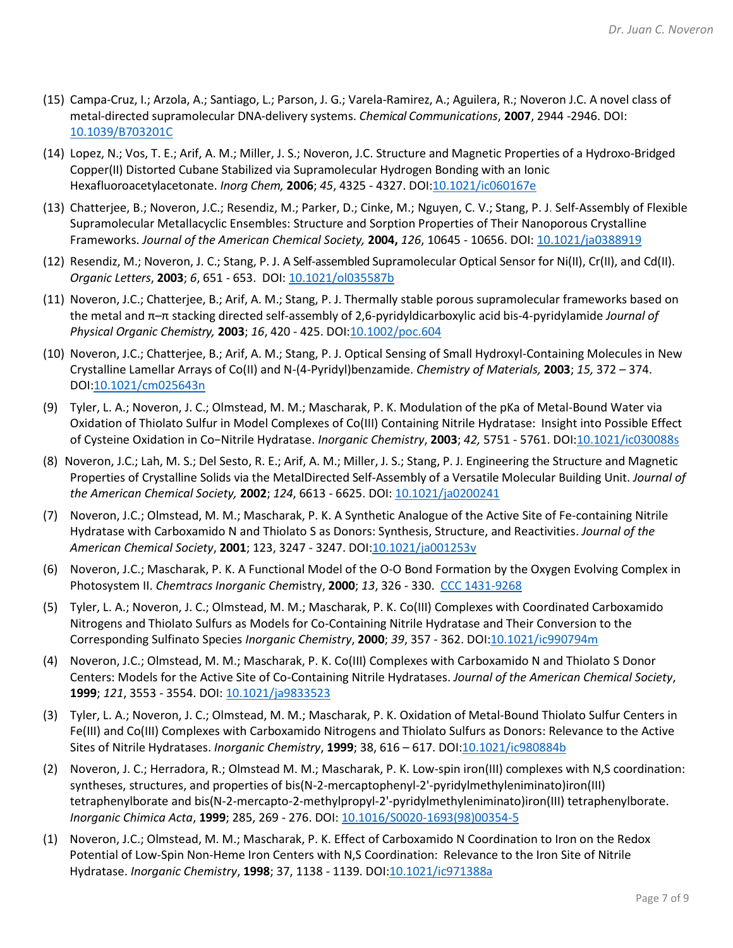- (15) Campa-Cruz, I.; Arzola, A.; Santiago, L.; Parson, J. G.; Varela-Ramirez, A.; Aguilera, R.; Noveron J.C. A novel class of metal-directed supramolecular DNA-delivery systems. *Chemical Communications*, **2007**, 2944 -2946. DOI: [10.1039/B703201C](https://doi.org/10.1039/B703201C)
- (14) Lopez, N.; Vos, T. E.; Arif, A. M.; Miller, J. S.; Noveron, J.C. Structure and Magnetic Properties of a Hydroxo-Bridged Copper(II) Distorted Cubane Stabilized via Supramolecular Hydrogen Bonding with an Ionic Hexafluoroacetylacetonate. *Inorg Chem,* **2006**; *45*, 4325 - 4327. DOI[:10.1021/ic060167e](https://doi.org/10.1021/ic060167e)
- (13) Chatterjee, B.; Noveron, J.C.; Resendiz, M.; Parker, D.; Cinke, M.; Nguyen, C. V.; Stang, P. J. Self-Assembly of Flexible Supramolecular Metallacyclic Ensembles: Structure and Sorption Properties of Their Nanoporous Crystalline Frameworks. *Journal of the American Chemical Society,* **2004,** *126*, 10645 - 10656. DOI[: 10.1021/ja0388919](https://doi.org/10.1021/ja0388919)
- (12) Resendiz, M.; Noveron, J. C.; Stang, P. J. A Self-assembled Supramolecular Optical Sensor for Ni(II), Cr(II), and Cd(II). *Organic Letters*, **2003**; *6*, 651 - 653. DOI: [10.1021/ol035587b](https://doi.org/10.1021/ol035587b)
- (11) Noveron, J.C.; Chatterjee, B.; Arif, A. M.; Stang, P. J. Thermally stable porous supramolecular frameworks based on the metal and π–π stacking directed self‐assembly of 2,6‐pyridyldicarboxylic acid bis‐4‐pyridylamide *Journal of Physical Organic Chemistry,* **2003**; *16*, 420 - 425. DOI[:10.1002/poc.604](https://doi.org/10.1002/poc.604)
- (10) Noveron, J.C.; Chatterjee, B.; Arif, A. M.; Stang, P. J. Optical Sensing of Small Hydroxyl-Containing Molecules in New Crystalline Lamellar Arrays of Co(II) and N-(4-Pyridyl)benzamide. *Chemistry of Materials,* **2003**; *15,* 372 – 374. DOI[:10.1021/cm025643n](https://doi.org/10.1021/cm025643n)
- (9) Tyler, L. A.; Noveron, J. C.; Olmstead, M. M.; Mascharak, P. K. Modulation of the pKa of Metal-Bound Water via Oxidation of Thiolato Sulfur in Model Complexes of Co(III) Containing Nitrile Hydratase:  Insight into Possible Effect of Cysteine Oxidation in Co−Nitrile Hydratase. *Inorganic Chemistry*, **2003**; *42,* 5751 - 5761. DO[I:10.1021/ic030088s](https://doi.org/10.1021/ic030088s)
- (8) Noveron, J.C.; Lah, M. S.; Del Sesto, R. E.; Arif, A. M.; Miller, J. S.; Stang, P. J. Engineering the Structure and Magnetic Properties of Crystalline Solids via the MetalDirected Self-Assembly of a Versatile Molecular Building Unit. *Journal of the American Chemical Society,* **2002**; *124*, 6613 - 6625. DOI: [10.1021/ja0200241](https://doi.org/10.1021/ja0200241)
- (7) Noveron, J.C.; Olmstead, M. M.; Mascharak, P. K. A Synthetic Analogue of the Active Site of Fe-containing Nitrile Hydratase with Carboxamido N and Thiolato S as Donors: Synthesis, Structure, and Reactivities. *Journal of the American Chemical Society*, **2001**; 123, 3247 - 3247. DOI[:10.1021/ja001253v](https://doi.org/10.1021/ja001253v)
- (6) Noveron, J.C.; Mascharak, P. K. A Functional Model of the O-O Bond Formation by the Oxygen Evolving Complex in Photosystem II. *Chemtracs Inorganic Chem*istry, **2000**; *13*, 326 - 330. [CCC 1431-9268](http://www.scopus.com/inward/record.url?scp=0033860669&partnerID=8YFLogxK)
- (5) Tyler, L. A.; Noveron, J. C.; Olmstead, M. M.; Mascharak, P. K. Co(III) Complexes with Coordinated Carboxamido Nitrogens and Thiolato Sulfurs as Models for Co-Containing Nitrile Hydratase and Their Conversion to the Corresponding Sulfinato Species *Inorganic Chemistry*, **2000**; *39*, 357 - 362. DOI[:10.1021/ic990794m](https://doi.org/10.1021/ic990794m)
- (4) Noveron, J.C.; Olmstead, M. M.; Mascharak, P. K. Co(III) Complexes with Carboxamido N and Thiolato S Donor Centers: Models for the Active Site of Co-Containing Nitrile Hydratases. *Journal of the American Chemical Society*, **1999**; *121*, 3553 - 3554. DOI[: 10.1021/ja9833523](https://doi.org/10.1021/ja9833523)
- (3) Tyler, L. A.; Noveron, J. C.; Olmstead, M. M.; Mascharak, P. K. Oxidation of Metal-Bound Thiolato Sulfur Centers in Fe(III) and Co(III) Complexes with Carboxamido Nitrogens and Thiolato Sulfurs as Donors: Relevance to the Active Sites of Nitrile Hydratases. *Inorganic Chemistry*, **1999**; 38, 616 – 617. DOI[:10.1021/ic980884b](https://doi.org/10.1021/ic980884b)
- (2) Noveron, J. C.; Herradora, R.; Olmstead M. M.; Mascharak, P. K. Low-spin iron(III) complexes with N,S coordination: syntheses, structures, and properties of bis(N-2-mercaptophenyl-2'-pyridylmethyleniminato)iron(III) tetraphenylborate and bis(N-2-mercapto-2-methylpropyl-2'-pyridylmethyleniminato)iron(III) tetraphenylborate. *Inorganic Chimica Acta*, **1999**; 285, 269 - 276. DOI: [10.1016/S0020-1693\(98\)00354-5](https://doi.org/10.1016/S0020-1693(98)00354-5)
- (1) Noveron, J.C.; Olmstead, M. M.; Mascharak, P. K. Effect of Carboxamido N Coordination to Iron on the Redox Potential of Low-Spin Non-Heme Iron Centers with N,S Coordination:  Relevance to the Iron Site of Nitrile Hydratase. *Inorganic Chemistry*, **1998**; 37, 1138 - 1139. DOI[:10.1021/ic971388a](https://doi.org/10.1021/ic971388a)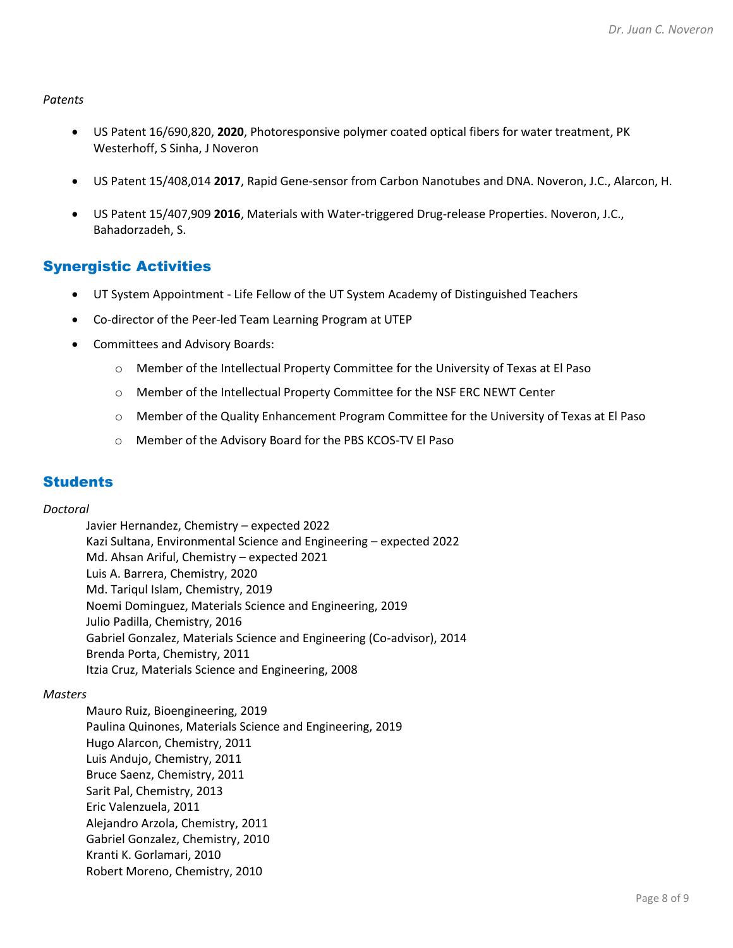*Patents*

- US Patent 16/690,820, **2020**, Photoresponsive polymer coated optical fibers for water treatment, PK Westerhoff, S Sinha, J Noveron
- US Patent 15/408,014 **2017**, Rapid Gene-sensor from Carbon Nanotubes and DNA. Noveron, J.C., Alarcon, H.
- US Patent 15/407,909 **2016**, Materials with Water-triggered Drug-release Properties. Noveron, J.C., Bahadorzadeh, S.

## Synergistic Activities

- UT System Appointment Life Fellow of the UT System Academy of Distinguished Teachers
- Co-director of the Peer-led Team Learning Program at UTEP
- Committees and Advisory Boards:
	- o Member of the Intellectual Property Committee for the University of Texas at El Paso
	- o Member of the Intellectual Property Committee for the NSF ERC NEWT Center
	- o Member of the Quality Enhancement Program Committee for the University of Texas at El Paso
	- o Member of the Advisory Board for the PBS KCOS-TV El Paso

## **Students**

#### *Doctoral*

Javier Hernandez, Chemistry – expected 2022 Kazi Sultana, Environmental Science and Engineering – expected 2022 Md. Ahsan Ariful, Chemistry – expected 2021 Luis A. Barrera, Chemistry, 2020 Md. Tariqul Islam, Chemistry, 2019 Noemi Dominguez, Materials Science and Engineering, 2019 Julio Padilla, Chemistry, 2016 Gabriel Gonzalez, Materials Science and Engineering (Co-advisor), 2014 Brenda Porta, Chemistry, 2011 Itzia Cruz, Materials Science and Engineering, 2008

#### *Masters*

Mauro Ruiz, Bioengineering, 2019 Paulina Quinones, Materials Science and Engineering, 2019 Hugo Alarcon, Chemistry, 2011 Luis Andujo, Chemistry, 2011 Bruce Saenz, Chemistry, 2011 Sarit Pal, Chemistry, 2013 Eric Valenzuela, 2011 Alejandro Arzola, Chemistry, 2011 Gabriel Gonzalez, Chemistry, 2010 Kranti K. Gorlamari, 2010 Robert Moreno, Chemistry, 2010